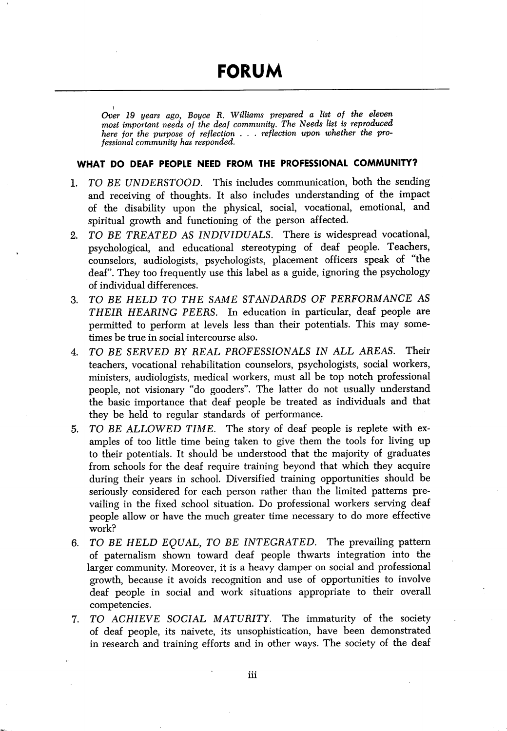Over 19 years ago, Boyce R. Williams prepared a list of the eleven most important needs of the deaf community. The Needs list is reproduced here for the purpose of reflection . . . reflection upon whether the professional community has responded.

## WHAT DO DEAF PEOPLE NEED FROM THE PROFESSIONAL COMMUNITY?

- 1. TO BE UNDERSTOOD. This includes communication, both the sending and receiving of thoughts. It also includes understanding of the impact of the disability upon the physical, social, vocational, emotional, and spiritual growth and functioning of the person affected.
- 2. TO BE TREATED AS INDIVIDUALS. There is widespread vocational, psychological, and educational stereotyping of deaf people. Teachers, counselors, audiologists, psychologists, placement officers speak of "the deaf". They too frequently use this label as a guide, ignoring the psychology of individual differences.
- 3. TO BE HELD TO THE SAME STANDARDS OF PERFORMANCE AS THEIR HEARING PEERS. In education in particular, deaf people are permitted to perform at levels less than their potentials. This may some times be true in social intercourse also.
- 4. TO BE SERVED BY REAL PROFESSIONALS IN ALL AREAS. Their teachers, vocational rehabilitation counselors, psychologists, social workers, ministers, audiologists, medical workers, must all be top notch professional people, not visionary "do gooders". The latter do not usually understand the basic importance that deaf people be treated as individuals and that they be held to regular standards of performance.
- 5. TO BE ALLOWED TIME. The story of deaf people is replete with ex amples of too little time being taken to give them the tools for living up to their potentials. It should be understood that the majority of graduates from schools for the deaf require training beyond that which they acquire during their years in school. Diversified training opportunities should be seriously considered for each person rather than the limited patterns pre vailing in the fixed school situation. Do professional workers serving deaf people allow or have the much greater time necessary to do more effective work?
- 6. TO BE HELD EQUAL, TO BE INTEGRATED. The prevailing pattern of paternalism shown toward deaf people thwarts integration into the larger community. Moreover, it is a heavy damper on social and professional growth, because it avoids recognition and use of opportunities to involve deaf people in social and work situations appropriate to their overall competencies.
- 7. TO ACHIEVE SOCIAL MATURITY. The immaturity of the society of deaf people, its naivete, its unsophistication, have been demonstrated in research and training efforts and in other ways. The society of the deaf